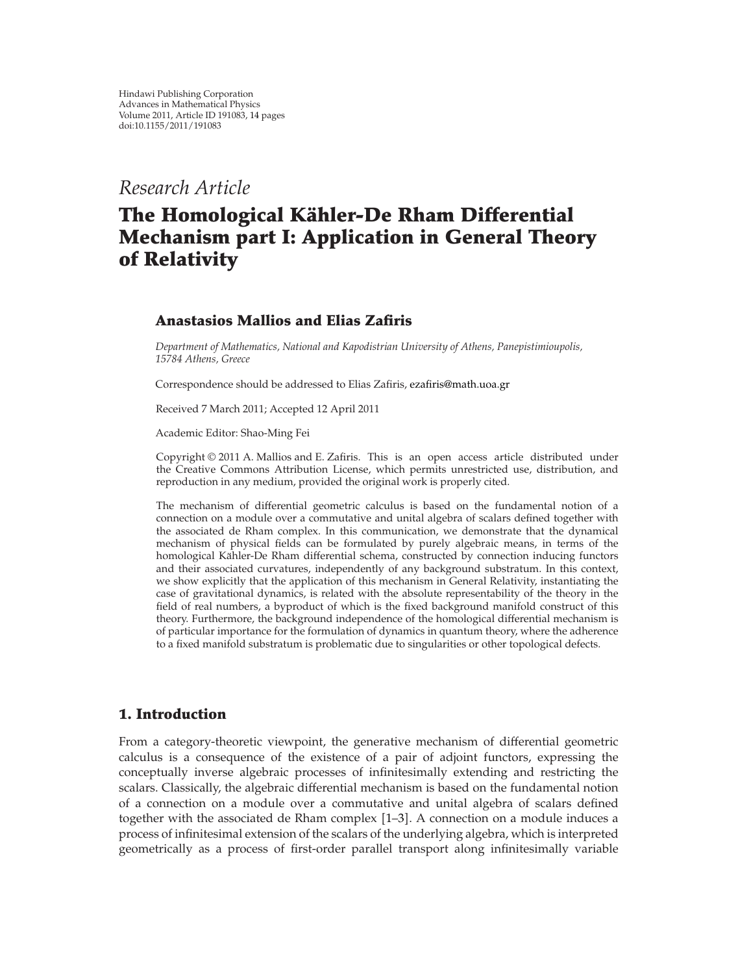*Research Article*

# **The Homological Kahler-De Rham Differential ¨ Mechanism part I: Application in General Theory of Relativity**

# **Anastasios Mallios and Elias Zafiris**

*Department of Mathematics, National and Kapodistrian University of Athens, Panepistimioupolis, 15784 Athens, Greece*

Correspondence should be addressed to Elias Zafiris, ezafiris@math.uoa.gr

Received 7 March 2011; Accepted 12 April 2011

Academic Editor: Shao-Ming Fei

Copyright © 2011 A. Mallios and E. Zafiris. This is an open access article distributed under the Creative Commons Attribution License, which permits unrestricted use, distribution, and reproduction in any medium, provided the original work is properly cited.

The mechanism of differential geometric calculus is based on the fundamental notion of a connection on a module over a commutative and unital algebra of scalars defined together with the associated de Rham complex. In this communication, we demonstrate that the dynamical mechanism of physical fields can be formulated by purely algebraic means, in terms of the homological Kähler-De Rham differential schema, constructed by connection inducing functors and their associated curvatures, independently of any background substratum. In this context, we show explicitly that the application of this mechanism in General Relativity, instantiating the case of gravitational dynamics, is related with the absolute representability of the theory in the field of real numbers, a byproduct of which is the fixed background manifold construct of this theory. Furthermore, the background independence of the homological differential mechanism is of particular importance for the formulation of dynamics in quantum theory, where the adherence to a fixed manifold substratum is problematic due to singularities or other topological defects.

# **1. Introduction**

From a category-theoretic viewpoint, the generative mechanism of differential geometric calculus is a consequence of the existence of a pair of adjoint functors, expressing the conceptually inverse algebraic processes of infinitesimally extending and restricting the scalars. Classically, the algebraic differential mechanism is based on the fundamental notion of a connection on a module over a commutative and unital algebra of scalars defined together with the associated de Rham complex  $[1-3]$ . A connection on a module induces a process of infinitesimal extension of the scalars of the underlying algebra, which is interpreted geometrically as a process of first-order parallel transport along infinitesimally variable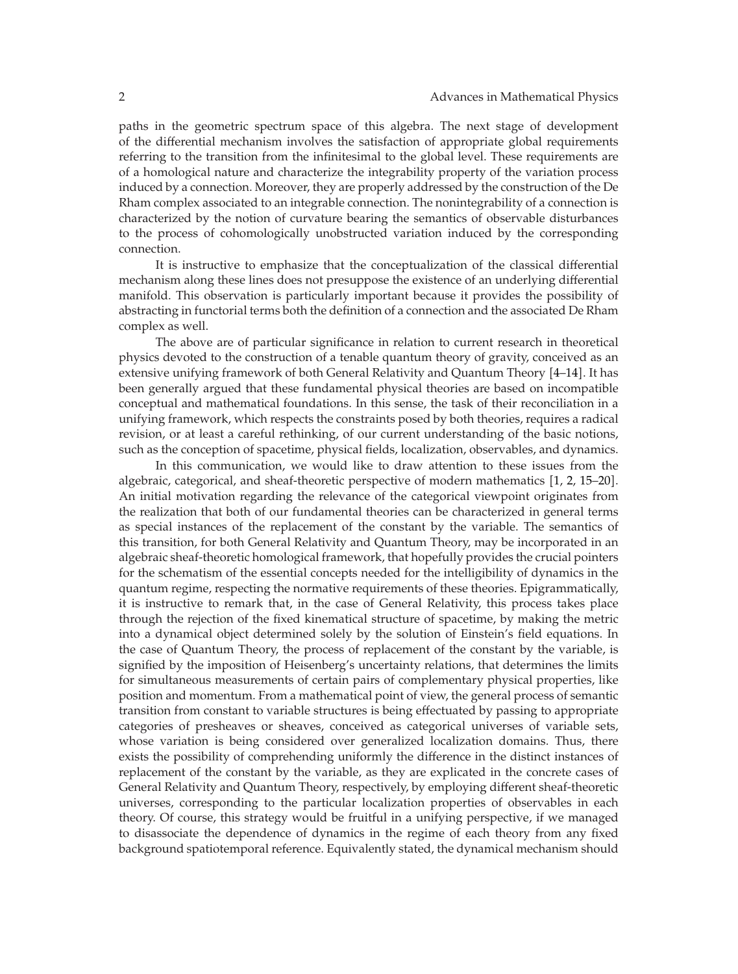paths in the geometric spectrum space of this algebra. The next stage of development of the differential mechanism involves the satisfaction of appropriate global requirements referring to the transition from the infinitesimal to the global level. These requirements are of a homological nature and characterize the integrability property of the variation process induced by a connection. Moreover, they are properly addressed by the construction of the De Rham complex associated to an integrable connection. The nonintegrability of a connection is characterized by the notion of curvature bearing the semantics of observable disturbances to the process of cohomologically unobstructed variation induced by the corresponding connection.

It is instructive to emphasize that the conceptualization of the classical differential mechanism along these lines does not presuppose the existence of an underlying differential manifold. This observation is particularly important because it provides the possibility of abstracting in functorial terms both the definition of a connection and the associated De Rham complex as well.

The above are of particular significance in relation to current research in theoretical physics devoted to the construction of a tenable quantum theory of gravity, conceived as an extensive unifying framework of both General Relativity and Quantum Theory [4–14]. It has been generally argued that these fundamental physical theories are based on incompatible conceptual and mathematical foundations. In this sense, the task of their reconciliation in a unifying framework, which respects the constraints posed by both theories, requires a radical revision, or at least a careful rethinking, of our current understanding of the basic notions, such as the conception of spacetime, physical fields, localization, observables, and dynamics.

In this communication, we would like to draw attention to these issues from the algebraic, categorical, and sheaf-theoretic perspective of modern mathematics [1, 2, 15–20]. An initial motivation regarding the relevance of the categorical viewpoint originates from the realization that both of our fundamental theories can be characterized in general terms as special instances of the replacement of the constant by the variable. The semantics of this transition, for both General Relativity and Quantum Theory, may be incorporated in an algebraic sheaf-theoretic homological framework, that hopefully provides the crucial pointers for the schematism of the essential concepts needed for the intelligibility of dynamics in the quantum regime, respecting the normative requirements of these theories. Epigrammatically, it is instructive to remark that, in the case of General Relativity, this process takes place through the rejection of the fixed kinematical structure of spacetime, by making the metric into a dynamical object determined solely by the solution of Einstein's field equations. In the case of Quantum Theory, the process of replacement of the constant by the variable, is signified by the imposition of Heisenberg's uncertainty relations, that determines the limits for simultaneous measurements of certain pairs of complementary physical properties, like position and momentum. From a mathematical point of view, the general process of semantic transition from constant to variable structures is being effectuated by passing to appropriate categories of presheaves or sheaves, conceived as categorical universes of variable sets, whose variation is being considered over generalized localization domains. Thus, there exists the possibility of comprehending uniformly the difference in the distinct instances of replacement of the constant by the variable, as they are explicated in the concrete cases of General Relativity and Quantum Theory, respectively, by employing different sheaf-theoretic universes, corresponding to the particular localization properties of observables in each theory. Of course, this strategy would be fruitful in a unifying perspective, if we managed to disassociate the dependence of dynamics in the regime of each theory from any fixed background spatiotemporal reference. Equivalently stated, the dynamical mechanism should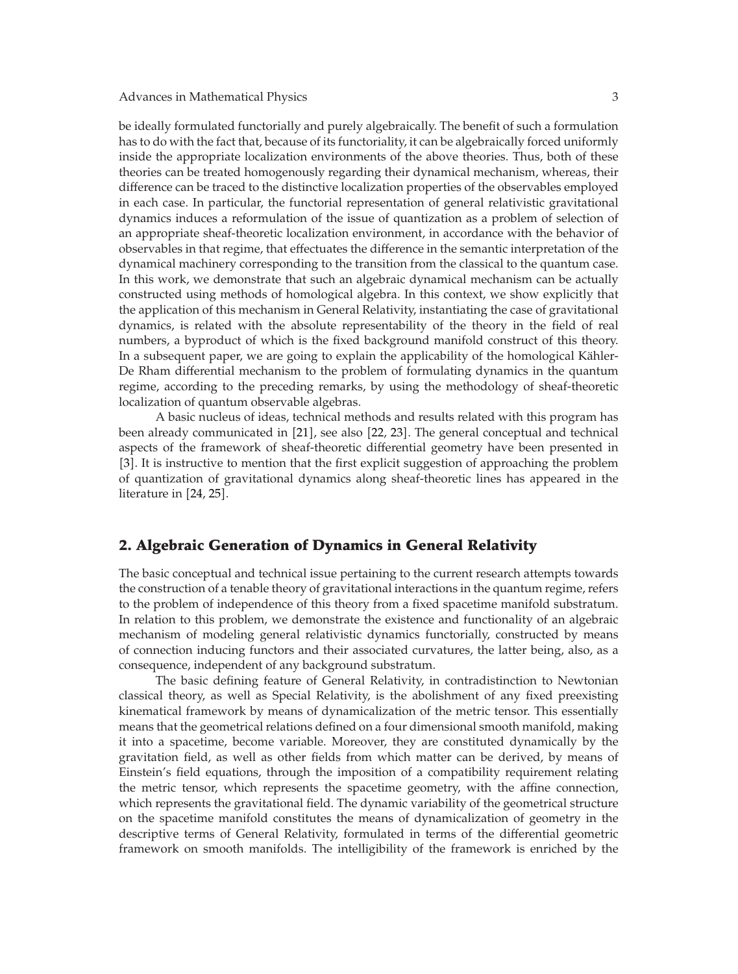be ideally formulated functorially and purely algebraically. The benefit of such a formulation has to do with the fact that, because of its functoriality, it can be algebraically forced uniformly inside the appropriate localization environments of the above theories. Thus, both of these theories can be treated homogenously regarding their dynamical mechanism, whereas, their difference can be traced to the distinctive localization properties of the observables employed in each case. In particular, the functorial representation of general relativistic gravitational dynamics induces a reformulation of the issue of quantization as a problem of selection of an appropriate sheaf-theoretic localization environment, in accordance with the behavior of observables in that regime, that effectuates the difference in the semantic interpretation of the dynamical machinery corresponding to the transition from the classical to the quantum case. In this work, we demonstrate that such an algebraic dynamical mechanism can be actually constructed using methods of homological algebra. In this context, we show explicitly that the application of this mechanism in General Relativity, instantiating the case of gravitational dynamics, is related with the absolute representability of the theory in the field of real numbers, a byproduct of which is the fixed background manifold construct of this theory. In a subsequent paper, we are going to explain the applicability of the homological Kähler-De Rham differential mechanism to the problem of formulating dynamics in the quantum regime, according to the preceding remarks, by using the methodology of sheaf-theoretic localization of quantum observable algebras.

A basic nucleus of ideas, technical methods and results related with this program has been already communicated in [21], see also [22, 23]. The general conceptual and technical aspects of the framework of sheaf-theoretic differential geometry have been presented in 3. It is instructive to mention that the first explicit suggestion of approaching the problem of quantization of gravitational dynamics along sheaf-theoretic lines has appeared in the literature in  $[24, 25]$ .

### **2. Algebraic Generation of Dynamics in General Relativity**

The basic conceptual and technical issue pertaining to the current research attempts towards the construction of a tenable theory of gravitational interactions in the quantum regime, refers to the problem of independence of this theory from a fixed spacetime manifold substratum. In relation to this problem, we demonstrate the existence and functionality of an algebraic mechanism of modeling general relativistic dynamics functorially, constructed by means of connection inducing functors and their associated curvatures, the latter being, also, as a consequence, independent of any background substratum.

The basic defining feature of General Relativity, in contradistinction to Newtonian classical theory, as well as Special Relativity, is the abolishment of any fixed preexisting kinematical framework by means of dynamicalization of the metric tensor. This essentially means that the geometrical relations defined on a four dimensional smooth manifold, making it into a spacetime, become variable. Moreover, they are constituted dynamically by the gravitation field, as well as other fields from which matter can be derived, by means of Einstein's field equations, through the imposition of a compatibility requirement relating the metric tensor, which represents the spacetime geometry, with the affine connection, which represents the gravitational field. The dynamic variability of the geometrical structure on the spacetime manifold constitutes the means of dynamicalization of geometry in the descriptive terms of General Relativity, formulated in terms of the differential geometric framework on smooth manifolds. The intelligibility of the framework is enriched by the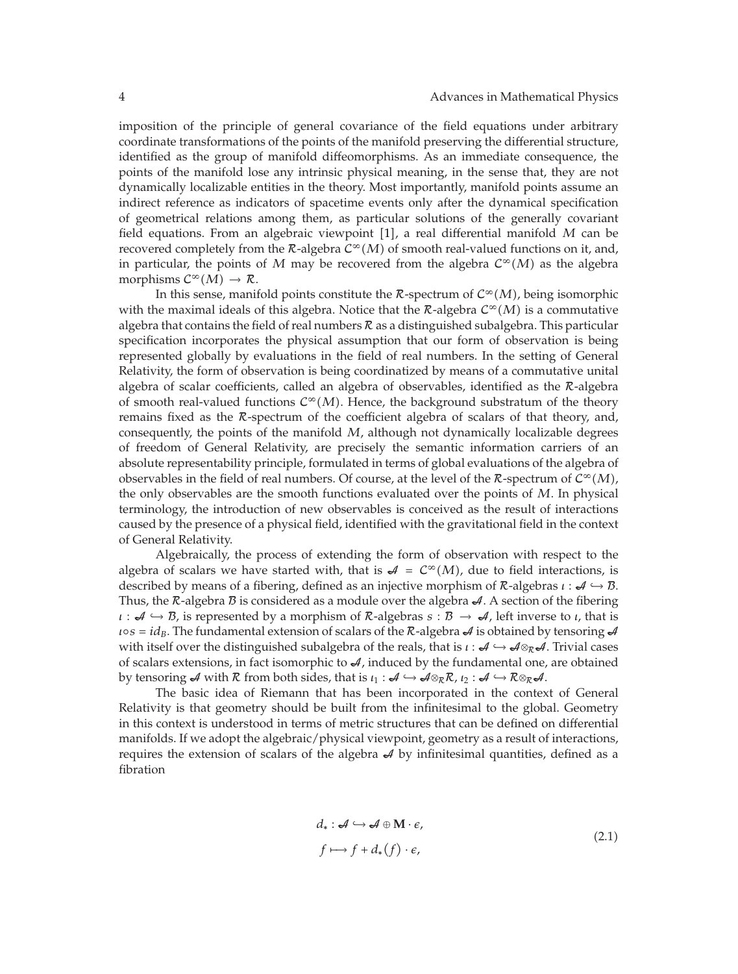imposition of the principle of general covariance of the field equations under arbitrary coordinate transformations of the points of the manifold preserving the differential structure, identified as the group of manifold diffeomorphisms. As an immediate consequence, the points of the manifold lose any intrinsic physical meaning, in the sense that, they are not dynamically localizable entities in the theory. Most importantly, manifold points assume an indirect reference as indicators of spacetime events only after the dynamical specification of geometrical relations among them, as particular solutions of the generally covariant field equations. From an algebraic viewpoint [1], a real differential manifold M can be recovered completely from the  $\mathcal{R}$ -algebra  $C^{\infty}(M)$  of smooth real-valued functions on it, and, in particular, the points of *M* may be recovered from the algebra  $C^{\infty}(M)$  as the algebra morphisms  $C^{\infty}(M) \to \mathcal{R}$ .

In this sense, manifold points constitute the  $\mathcal{R}$ -spectrum of  $\mathcal{C}^{\infty}(M)$ , being isomorphic with the maximal ideals of this algebra. Notice that the  $\mathcal{R}$ -algebra  $\mathcal{C}^{\infty}(M)$  is a commutative algebra that contains the field of real numbers  $R$  as a distinguished subalgebra. This particular specification incorporates the physical assumption that our form of observation is being represented globally by evaluations in the field of real numbers. In the setting of General Relativity, the form of observation is being coordinatized by means of a commutative unital algebra of scalar coefficients, called an algebra of observables, identified as the R-algebra of smooth real-valued functions  $C^{\infty}(M)$ . Hence, the background substratum of the theory remains fixed as the R-spectrum of the coefficient algebra of scalars of that theory, and, consequently, the points of the manifold *M*, although not dynamically localizable degrees of freedom of General Relativity, are precisely the semantic information carriers of an absolute representability principle, formulated in terms of global evaluations of the algebra of observables in the field of real numbers. Of course, at the level of the  $\mathcal{R}$ -spectrum of  $\mathcal{C}^{\infty}(M)$ , the only observables are the smooth functions evaluated over the points of *M*. In physical terminology, the introduction of new observables is conceived as the result of interactions caused by the presence of a physical field, identified with the gravitational field in the context of General Relativity.

Algebraically, the process of extending the form of observation with respect to the algebra of scalars we have started with, that is  $\mathcal{A} = C^{\infty}(M)$ , due to field interactions, is described by means of a fibering, defined as an injective morphism of R-algebras *ι* : A → B. Thus, the  $\mathcal R$ -algebra  $\mathcal B$  is considered as a module over the algebra  $\mathcal A$ . A section of the fibering  $\iota : \mathcal{A} \hookrightarrow \mathcal{B}$ , is represented by a morphism of  $\mathcal{R}$ -algebras  $s : \mathcal{B} \to \mathcal{A}$ , left inverse to *ι*, that is  $\iota \circ s = id_B$ . The fundamental extension of scalars of the R-algebra  $\mathcal A$  is obtained by tensoring  $\mathcal A$ with itself over the distinguished subalgebra of the reals, that is *ι* : *4* →  $\mathcal{A} \otimes_R \mathcal{A}$ . Trivial cases of scalars extensions, in fact isomorphic to  $\mathcal{A}$ , induced by the fundamental one, are obtained by tensoring  $\mathcal A$  with  $R$  from both sides, that is  $\iota_1 : \mathcal A \hookrightarrow \mathcal A \otimes_R R$ ,  $\iota_2 : \mathcal A \hookrightarrow R \otimes_R \mathcal A$ .

The basic idea of Riemann that has been incorporated in the context of General Relativity is that geometry should be built from the infinitesimal to the global. Geometry in this context is understood in terms of metric structures that can be defined on differential manifolds. If we adopt the algebraic/physical viewpoint, geometry as a result of interactions, requires the extension of scalars of the algebra  $A$  by infinitesimal quantities, defined as a fibration

$$
d_*: \mathcal{A} \hookrightarrow \mathcal{A} \oplus \mathbf{M} \cdot \mathcal{e},
$$
  

$$
f \longmapsto f + d_*(f) \cdot \mathcal{e},
$$
 (2.1)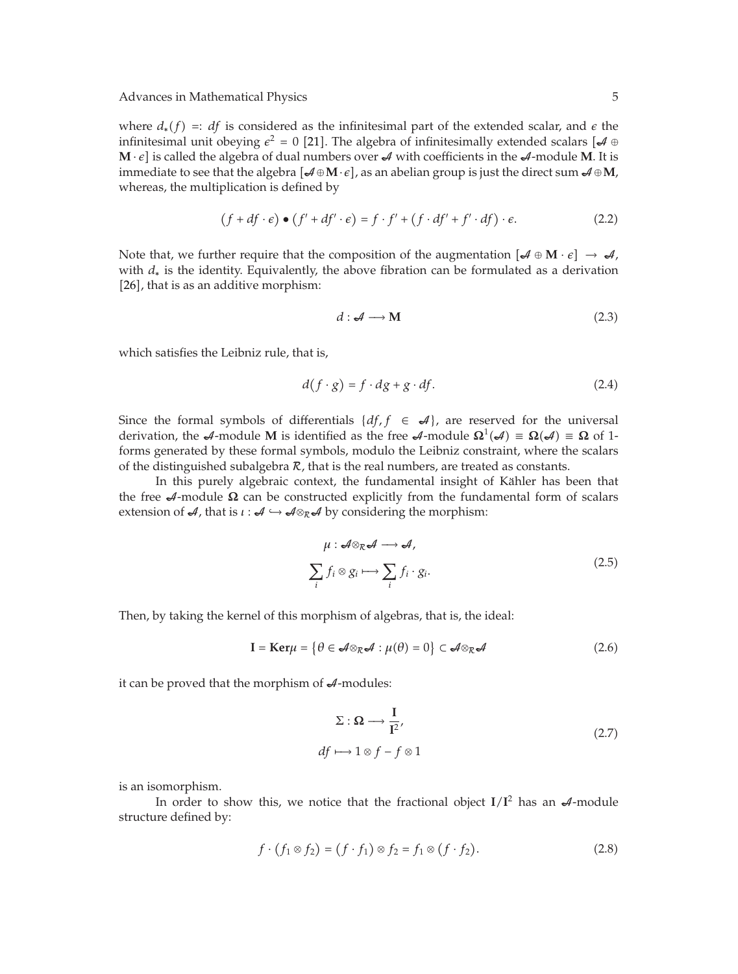where  $d_*(f) = idf$  is considered as the infinitesimal part of the extended scalar, and  $\epsilon$  the infinitesimal unit obeying  $\epsilon^2 = 0$  [21]. The algebra of infinitesimally extended scalars [ $\mathcal{A} \oplus \mathcal{A}$  $M \cdot \epsilon$  is called the algebra of dual numbers over  $\mathcal{A}$  with coefficients in the  $\mathcal{A}$ -module M. It is immediate to see that the algebra  $\mathcal{A} \oplus \mathbf{M} \cdot \epsilon$ , as an abelian group is just the direct sum  $\mathcal{A} \oplus \mathbf{M}$ , whereas, the multiplication is defined by

$$
(f + df \cdot \epsilon) \bullet (f' + df' \cdot \epsilon) = f \cdot f' + (f \cdot df' + f' \cdot df) \cdot \epsilon.
$$
 (2.2)

Note that, we further require that the composition of the augmentation  $\left[\mathcal{A} \oplus \mathbf{M} \cdot \mathbf{e}\right] \to \mathcal{A}$ , with *d*<sup>∗</sup> is the identity. Equivalently, the above fibration can be formulated as a derivation [26], that is as an additive morphism:

$$
d: \mathcal{A} \longrightarrow \mathbf{M} \tag{2.3}
$$

which satisfies the Leibniz rule, that is,

$$
d(f \cdot g) = f \cdot dg + g \cdot df. \tag{2.4}
$$

Since the formal symbols of differentials  $\{df, f \in \mathcal{A}\}\)$ , are reserved for the universal derivation, the  $\mathcal{A}$ -module **M** is identified as the free  $\mathcal{A}$ -module  $\Omega^1(\mathcal{A}) \equiv \Omega(\mathcal{A}) \equiv \Omega$  of 1forms generated by these formal symbols, modulo the Leibniz constraint, where the scalars of the distinguished subalgebra  $R$ , that is the real numbers, are treated as constants.

In this purely algebraic context, the fundamental insight of Kähler has been that the free  $\mathcal{A}$ -module  $\Omega$  can be constructed explicitly from the fundamental form of scalars extension of  $\mathcal{A}$ , that is  $\iota : \mathcal{A} \hookrightarrow \mathcal{A} \otimes_{\mathcal{R}} \mathcal{A}$  by considering the morphism:

$$
\mu: \mathcal{A} \otimes_{\mathcal{R}} \mathcal{A} \longrightarrow \mathcal{A},
$$
\n
$$
\sum_{i} f_i \otimes g_i \longmapsto \sum_{i} f_i \cdot g_i.
$$
\n(2.5)

Then, by taking the kernel of this morphism of algebras, that is, the ideal:

$$
\mathbf{I} = \mathbf{Ker}\mu = \{ \theta \in \mathcal{A} \otimes_{\mathcal{R}} \mathcal{A} : \mu(\theta) = 0 \} \subset \mathcal{A} \otimes_{\mathcal{R}} \mathcal{A}
$$
 (2.6)

it can be proved that the morphism of  $\mathcal{A}$ -modules:

$$
\Sigma: \Omega \longrightarrow \frac{I}{I^2},
$$
  
df  $\longmapsto 1 \otimes f - f \otimes 1$  (2.7)

is an isomorphism.

In order to show this, we notice that the fractional object  $I/I<sup>2</sup>$  has an  $A$ -module structure defined by:

$$
f \cdot (f_1 \otimes f_2) = (f \cdot f_1) \otimes f_2 = f_1 \otimes (f \cdot f_2). \tag{2.8}
$$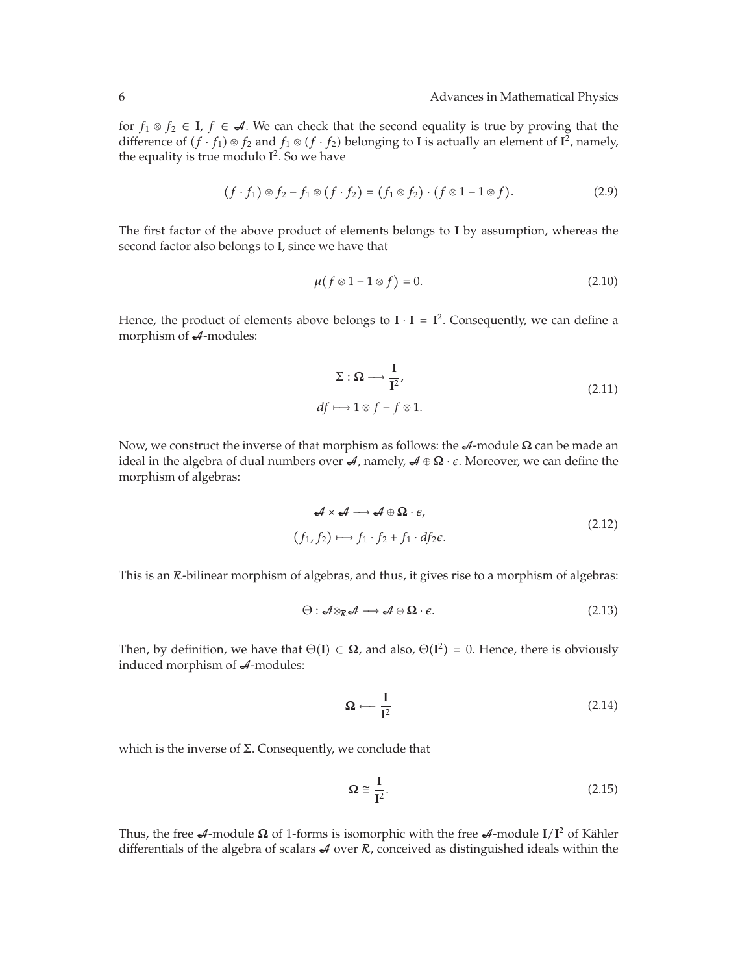for  $f_1 \otimes f_2$  ∈ **I**,  $f$  ∈ **A**. We can check that the second equality is true by proving that the difference of  $(f \cdot f_1) \otimes f_2$  and  $f_1 \otimes (f \cdot f_2)$  belonging to **I** is actually an element of **I**<sup>2</sup>, namely, the equality is true modulo  $I^2$ . So we have

$$
(f \cdot f_1) \otimes f_2 - f_1 \otimes (f \cdot f_2) = (f_1 \otimes f_2) \cdot (f \otimes 1 - 1 \otimes f). \tag{2.9}
$$

The first factor of the above product of elements belongs to **I** by assumption, whereas the second factor also belongs to **I**, since we have that

$$
\mu(f \otimes 1 - 1 \otimes f) = 0. \tag{2.10}
$$

Hence, the product of elements above belongs to  $I \cdot I = I^2$ . Consequently, we can define a morphism of  $A$ -modules:

$$
\Sigma: \Omega \longrightarrow \frac{I}{I^2},
$$
  
df  $\longmapsto 1 \otimes f - f \otimes 1.$  (2.11)

Now, we construct the inverse of that morphism as follows: the *A*-module **Ω** can be made an ideal in the algebra of dual numbers over  $\mathcal{A}$ , namely,  $\mathcal{A} \oplus \Omega \cdot \epsilon$ . Moreover, we can define the morphism of algebras:

$$
\mathcal{A} \times \mathcal{A} \longrightarrow \mathcal{A} \oplus \mathbf{\Omega} \cdot \mathbf{\epsilon},
$$
  
(f<sub>1</sub>, f<sub>2</sub>)  $\longmapsto$  f<sub>1</sub> · f<sub>2</sub> + f<sub>1</sub> · df<sub>2</sub> $\mathbf{\epsilon}.$  (2.12)

This is an  $R$ -bilinear morphism of algebras, and thus, it gives rise to a morphism of algebras:

$$
\Theta: \mathcal{A} \otimes_{\mathcal{R}} \mathcal{A} \longrightarrow \mathcal{A} \oplus \Omega \cdot \epsilon. \tag{2.13}
$$

Then, by definition, we have that  $\Theta(I) \subset \Omega$ , and also,  $\Theta(I^2) = 0$ . Hence, there is obviously induced morphism of  $A$ -modules:

$$
\Omega \longleftarrow \frac{I}{I^2} \tag{2.14}
$$

which is the inverse of  $\Sigma$ . Consequently, we conclude that

$$
\Omega \cong \frac{I}{I^2}.\tag{2.15}
$$

Thus, the free  $\mathcal{A}$ -module  $\Omega$  of 1-forms is isomorphic with the free  $\mathcal{A}$ -module  $I/I^2$  of Kähler differentials of the algebra of scalars  $\mathcal A$  over  $\mathcal R$ , conceived as distinguished ideals within the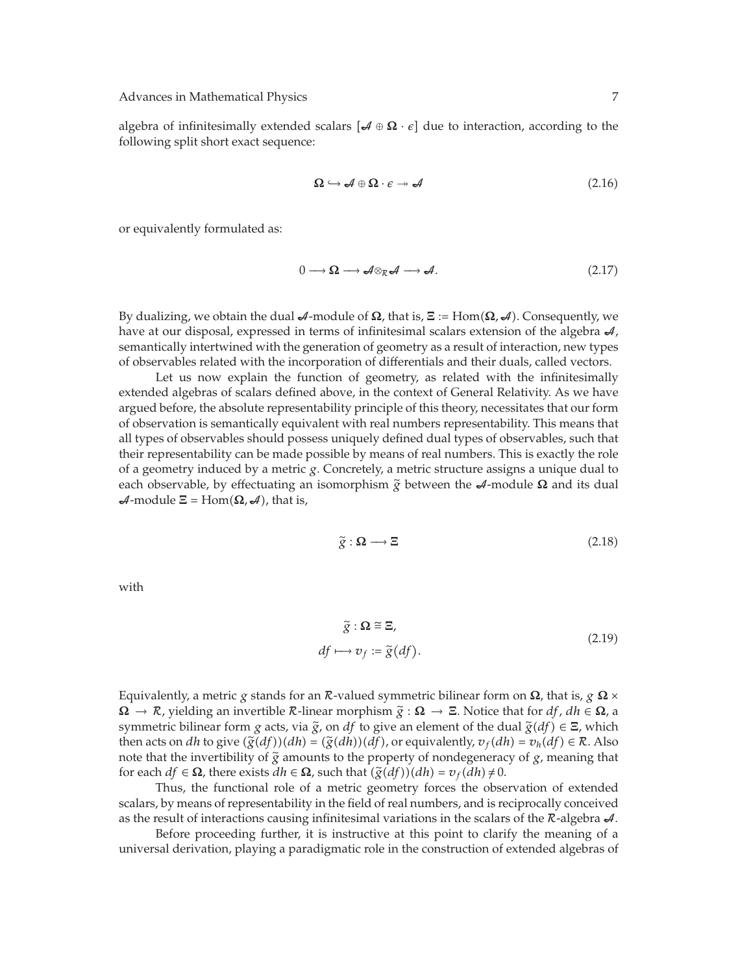algebra of infinitesimally extended scalars  $\mathcal{A} \oplus \mathbf{\Omega} \cdot \epsilon$  due to interaction, according to the following split short exact sequence:

$$
\Omega \hookrightarrow \mathcal{A} \oplus \Omega \cdot \epsilon \twoheadrightarrow \mathcal{A} \tag{2.16}
$$

or equivalently formulated as:

$$
0 \longrightarrow \Omega \longrightarrow \mathcal{A} \otimes_{\mathcal{R}} \mathcal{A} \longrightarrow \mathcal{A}.
$$
 (2.17)

By dualizing, we obtain the dual A-module of **Ω**, that is, **Ξ** : Hom**Ω***,* A. Consequently, we have at our disposal, expressed in terms of infinitesimal scalars extension of the algebra  $\mathcal{A}$ , semantically intertwined with the generation of geometry as a result of interaction, new types of observables related with the incorporation of differentials and their duals, called vectors.

Let us now explain the function of geometry, as related with the infinitesimally extended algebras of scalars defined above, in the context of General Relativity. As we have argued before, the absolute representability principle of this theory, necessitates that our form of observation is semantically equivalent with real numbers representability. This means that all types of observables should possess uniquely defined dual types of observables, such that their representability can be made possible by means of real numbers. This is exactly the role of a geometry induced by a metric *g*. Concretely, a metric structure assigns a unique dual to each observable, by effectuating an isomorphism  $\tilde{g}$  between the  $\mathcal{A}$ -module  $\Omega$  and its dual  $\mathcal{A}$ -module  $\Xi$  = Hom $(\Omega, \mathcal{A})$ , that is,

$$
\tilde{g} : \Omega \longrightarrow \Xi \tag{2.18}
$$

with

$$
\tilde{g} : \Omega \cong \Xi,
$$
  
df  $\longmapsto v_f := \tilde{g}(df).$  (2.19)

Equivalently, a metric *g* stands for an R-valued symmetric bilinear form on **Ω**, that is, *g* **Ω** × **<sup>Ω</sup>** → R, yielding an invertible <sup>R</sup>-linear morphism *<sup>g</sup>* : **<sup>Ω</sup>** <sup>→</sup> **<sup>Ξ</sup>**. Notice that for *df*, *dh* <sup>∈</sup> **<sup>Ω</sup>**, a symmetric bilinear form *g* acts, via  $\tilde{g}$ , on *df* to give an element of the dual  $\tilde{g}(df) \in \Xi$ , which then acts on *dh* to give  $(\tilde{g}(df))(dh) = (\tilde{g}(dh))(df)$ , or equivalently,  $v_f(dh) = v_h(df) \in \mathcal{R}$ . Also note that the invertibility of  $\tilde{g}$  amounts to the property of nondegeneracy of  $g$ , meaning that for each  $df \in \Omega$ , there exists  $dh \in \Omega$ , such that  $(\tilde{g}(df))(dh) = v_f(dh) \neq 0$ .

Thus, the functional role of a metric geometry forces the observation of extended scalars, by means of representability in the field of real numbers, and is reciprocally conceived as the result of interactions causing infinitesimal variations in the scalars of the  $\mathcal{R}\text{-algebra }\mathcal{A}.$ 

Before proceeding further, it is instructive at this point to clarify the meaning of a universal derivation, playing a paradigmatic role in the construction of extended algebras of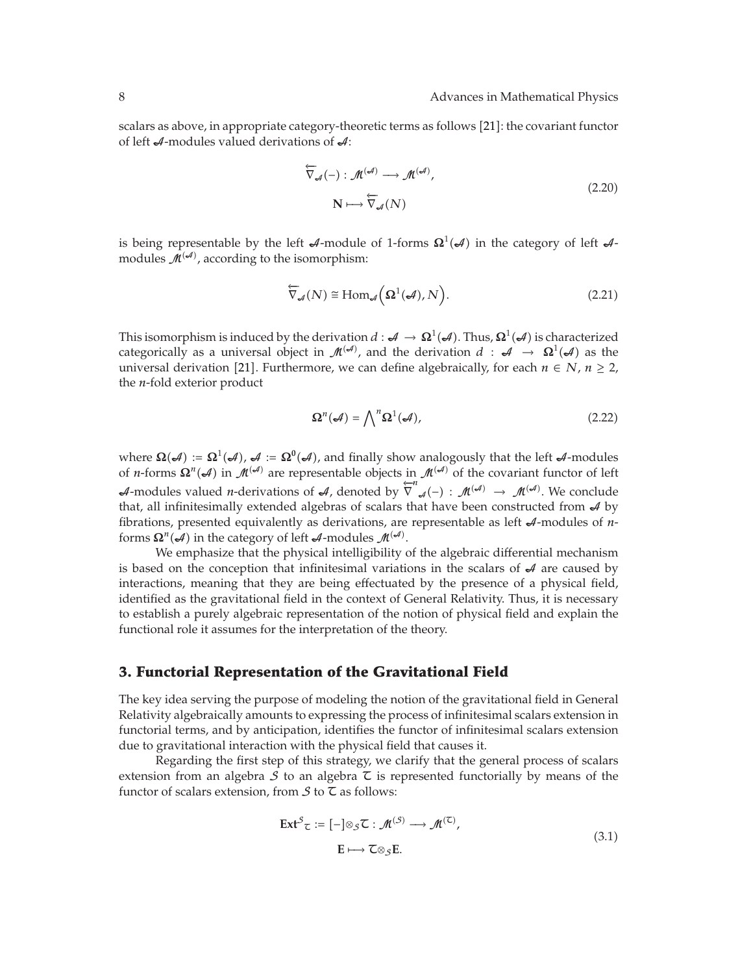scalars as above, in appropriate category-theoretic terms as follows [21]: the covariant functor of left  $\mathcal A$ -modules valued derivations of  $\mathcal A$ :

$$
\overleftarrow{\nabla}_{\mathcal{A}}(-): \mathcal{M}^{(\mathcal{A})} \longrightarrow \mathcal{M}^{(\mathcal{A})},
$$
\n
$$
N \longmapsto \overleftarrow{\nabla}_{\mathcal{A}}(N)
$$
\n(2.20)

is being representable by the left  $\mathcal A$ -module of 1-forms  $\Omega^1(\mathcal A)$  in the category of left  $\mathcal A$ modules  $\mathcal{M}^{(\mathcal{A})}$ , according to the isomorphism:

$$
\overleftarrow{\nabla}_{\mathcal{A}}(N) \cong \text{Hom}_{\mathcal{A}}\left(\Omega^1(\mathcal{A}), N\right). \tag{2.21}
$$

This isomorphism is induced by the derivation  $d:\mathcal{A}\to \mathbf{\Omega}^1(\mathcal{A}).$  Thus,  $\mathbf{\Omega}^1(\mathcal{A})$  is characterized categorically as a universal object in  $\mathcal{M}^{(\mathcal{A})}$ , and the derivation  $d$  :  $\mathcal{A}$   $\rightarrow$   $\Omega^1(\mathcal{A})$  as the universal derivation [21]. Furthermore, we can define algebraically, for each  $n \in N$ ,  $n \ge 2$ , the *n*-fold exterior product

$$
\Omega^n(\mathcal{A}) = \bigwedge^n \Omega^1(\mathcal{A}),\tag{2.22}
$$

where  $\Omega(\mathcal{A}) := \Omega^1(\mathcal{A})$ ,  $\mathcal{A} := \Omega^0(\mathcal{A})$ , and finally show analogously that the left  $\mathcal{A}$ -modules of *n*-forms  $\Omega^n(\mathcal{A})$  in  $\mathcal{M}^{(\mathcal{A})}$  are representable objects in  $\mathcal{M}^{(\mathcal{A})}$  of the covariant functor of left *A*-modules valued *n*-derivations of *A*, denoted by  $\overleftrightarrow{\nabla}^n_{\mathcal{A}}(-)$ :  $\mathcal{M}^{(\mathcal{A})} \to \mathcal{M}^{(\mathcal{A})}$ . We conclude that, all infinitesimally extended algebras of scalars that have been constructed from  $A$  by fibrations, presented equivalently as derivations, are representable as left  $\mathcal{A}$ -modules of *n*forms  $\Omega^n(\mathcal{A})$  in the category of left  $\mathcal{A}$ -modules  $\mathcal{M}^{(\mathcal{A})}$ .

We emphasize that the physical intelligibility of the algebraic differential mechanism is based on the conception that infinitesimal variations in the scalars of  $\mathcal A$  are caused by interactions, meaning that they are being effectuated by the presence of a physical field, identified as the gravitational field in the context of General Relativity. Thus, it is necessary to establish a purely algebraic representation of the notion of physical field and explain the functional role it assumes for the interpretation of the theory.

## **3. Functorial Representation of the Gravitational Field**

The key idea serving the purpose of modeling the notion of the gravitational field in General Relativity algebraically amounts to expressing the process of infinitesimal scalars extension in functorial terms, and by anticipation, identifies the functor of infinitesimal scalars extension due to gravitational interaction with the physical field that causes it.

Regarding the first step of this strategy, we clarify that the general process of scalars extension from an algebra  $S$  to an algebra  $\tilde{\tau}$  is represented functorially by means of the functor of scalars extension, from  $S$  to  $\zeta$  as follows:

$$
\operatorname{Ext}^{S} \mathcal{L} := [-]\otimes_{S} \mathcal{L} : \mathcal{M}^{(S)} \longrightarrow \mathcal{M}^{(\mathcal{L})},
$$
  
 
$$
\mathcal{E} \longmapsto \mathcal{L} \otimes_{S} \mathcal{E}.
$$
 (3.1)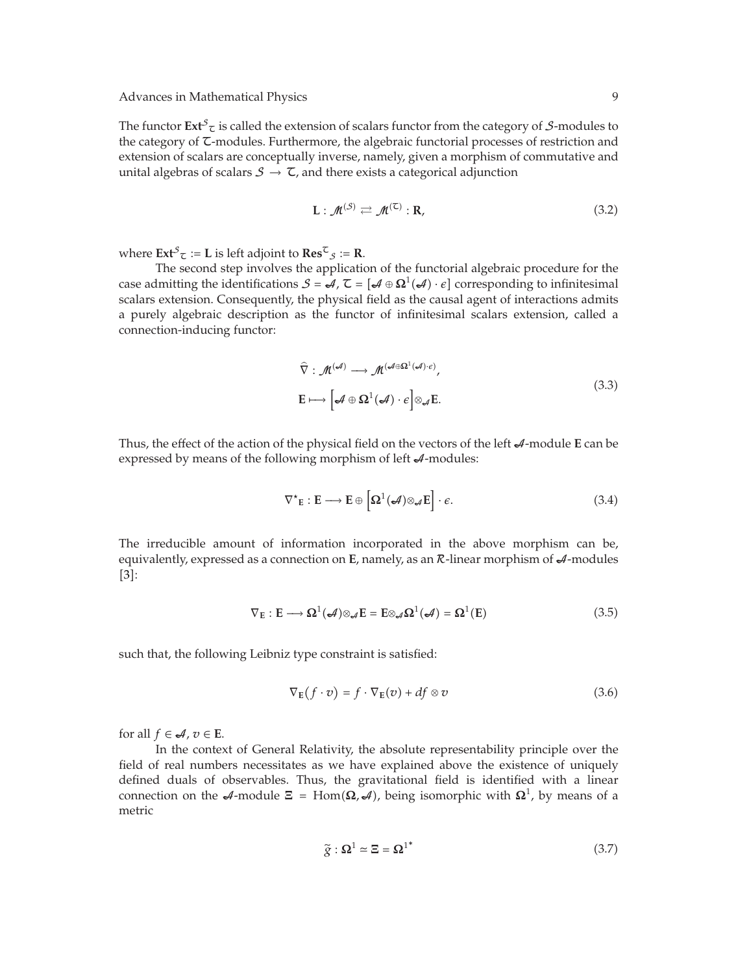The functor  $\text{Ext}^{\mathcal{S}}$  is called the extension of scalars functor from the category of  $\mathcal{S}\text{-modules}$  to the category of  $\tau$ -modules. Furthermore, the algebraic functorial processes of restriction and extension of scalars are conceptually inverse, namely, given a morphism of commutative and unital algebras of scalars  $S \rightarrow \mathbb{Z}$ , and there exists a categorical adjunction

$$
\mathbf{L} : \mathcal{M}^{(\mathcal{S})} \rightleftarrows \mathcal{M}^{(\mathsf{C})} : \mathbf{R},\tag{3.2}
$$

where  $\text{Ext}^{\mathcal{S}}_{\mathcal{I}} := L$  is left adjoint to  $\text{Res}^{\mathcal{I}}_{\mathcal{S}} := \mathbf{R}.$ 

The second step involves the application of the functorial algebraic procedure for the case admitting the identifications  $S = \mathcal{A}$ ,  $\mathcal{I} = [\mathcal{A} \oplus \Omega^1(\mathcal{A}) \cdot \epsilon]$  corresponding to infinitesimal scalars extension. Consequently, the physical field as the causal agent of interactions admits a purely algebraic description as the functor of infinitesimal scalars extension, called a connection-inducing functor:

$$
\widehat{\nabla} : \mathcal{M}^{(\mathcal{A})} \longrightarrow \mathcal{M}^{(\mathcal{A} \oplus \Omega^1(\mathcal{A}) \cdot \epsilon)},
$$
\n
$$
\mathbf{E} \longmapsto \left[ \mathcal{A} \oplus \Omega^1(\mathcal{A}) \cdot \epsilon \right] \otimes_{\mathcal{A}} \mathbf{E}.
$$
\n(3.3)

Thus, the effect of the action of the physical field on the vectors of the left  $\mathcal{A}$ -module **E** can be expressed by means of the following morphism of left  $\mathcal{A}$ -modules:

$$
\nabla^*_{\mathbf{E}} : \mathbf{E} \longrightarrow \mathbf{E} \oplus \left[ \Omega^1(\mathcal{A}) \otimes_{\mathcal{A}} \mathbf{E} \right] \cdot \epsilon. \tag{3.4}
$$

The irreducible amount of information incorporated in the above morphism can be, equivalently, expressed as a connection on **E**, namely, as an *R*-linear morphism of  $\mathcal{A}$ -modules  $[3]$ :

$$
\nabla_{\mathbf{E}} : \mathbf{E} \longrightarrow \mathbf{\Omega}^1(\mathcal{A}) \otimes_{\mathcal{A}} \mathbf{E} = \mathbf{E} \otimes_{\mathcal{A}} \mathbf{\Omega}^1(\mathcal{A}) = \mathbf{\Omega}^1(\mathbf{E}) \tag{3.5}
$$

such that, the following Leibniz type constraint is satisfied:

$$
\nabla_{\mathbf{E}}(f \cdot v) = f \cdot \nabla_{\mathbf{E}}(v) + df \otimes v \tag{3.6}
$$

for all  $f \in \mathcal{A}, v \in E$ .

In the context of General Relativity, the absolute representability principle over the field of real numbers necessitates as we have explained above the existence of uniquely defined duals of observables. Thus, the gravitational field is identified with a linear connection on the  $\mathcal{A}$ -module  $\Xi = \text{Hom}(\Omega, \mathcal{A})$ , being isomorphic with  $\Omega^1$ , by means of a metric

$$
\tilde{g} : \Omega^1 \simeq \Xi = \Omega^{1^*} \tag{3.7}
$$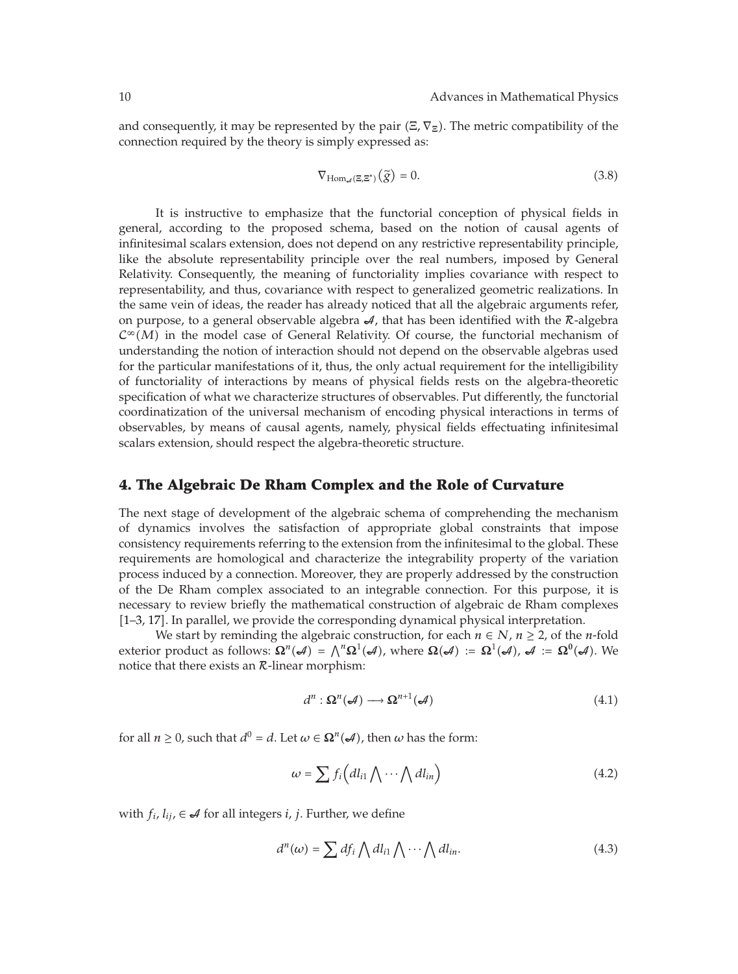and consequently, it may be represented by the pair Ξ*,* ∇**Ξ**. The metric compatibility of the connection required by the theory is simply expressed as:

$$
\nabla_{\text{Hom}_{\mathcal{A}}(\Xi,\Xi^*)}(\tilde{g}) = 0. \tag{3.8}
$$

It is instructive to emphasize that the functorial conception of physical fields in general, according to the proposed schema, based on the notion of causal agents of infinitesimal scalars extension, does not depend on any restrictive representability principle, like the absolute representability principle over the real numbers, imposed by General Relativity. Consequently, the meaning of functoriality implies covariance with respect to representability, and thus, covariance with respect to generalized geometric realizations. In the same vein of ideas, the reader has already noticed that all the algebraic arguments refer, on purpose, to a general observable algebra  $\mathcal{A}$ , that has been identified with the  $\mathcal{R}$ -algebra  $C^{\infty}(M)$  in the model case of General Relativity. Of course, the functorial mechanism of understanding the notion of interaction should not depend on the observable algebras used for the particular manifestations of it, thus, the only actual requirement for the intelligibility of functoriality of interactions by means of physical fields rests on the algebra-theoretic specification of what we characterize structures of observables. Put differently, the functorial coordinatization of the universal mechanism of encoding physical interactions in terms of observables, by means of causal agents, namely, physical fields effectuating infinitesimal scalars extension, should respect the algebra-theoretic structure.

#### **4. The Algebraic De Rham Complex and the Role of Curvature**

The next stage of development of the algebraic schema of comprehending the mechanism of dynamics involves the satisfaction of appropriate global constraints that impose consistency requirements referring to the extension from the infinitesimal to the global. These requirements are homological and characterize the integrability property of the variation process induced by a connection. Moreover, they are properly addressed by the construction of the De Rham complex associated to an integrable connection. For this purpose, it is necessary to review briefly the mathematical construction of algebraic de Rham complexes [1–3, 17]. In parallel, we provide the corresponding dynamical physical interpretation.

We start by reminding the algebraic construction, for each  $n \in N$ ,  $n \ge 2$ , of the *n*-fold exterior product as follows:  $\Omega^n(\mathcal{A}) = \bigwedge^n \Omega^1(\mathcal{A})$ , where  $\Omega(\mathcal{A}) := \Omega^1(\mathcal{A})$ ,  $\mathcal{A} := \Omega^0(\mathcal{A})$ . We notice that there exists an  $R$ -linear morphism:

$$
d^n: \Omega^n(\mathcal{A}) \longrightarrow \Omega^{n+1}(\mathcal{A})
$$
\n(4.1)

for all  $n \geq 0$ , such that  $d^0 = d$ . Let  $\omega \in \Omega^n(\mathcal{A})$ , then  $\omega$  has the form:

$$
\omega = \sum f_i \Big( dl_{i1} \bigwedge \cdots \bigwedge dl_{in} \Big) \tag{4.2}
$$

with  $f_i$ ,  $l_{ij}$ , ∈  $\mathcal{A}$  for all integers *i*, *j*. Further, we define

$$
d^n(\omega) = \sum df_i \bigwedge dl_{i1} \bigwedge \cdots \bigwedge dl_{in}.\tag{4.3}
$$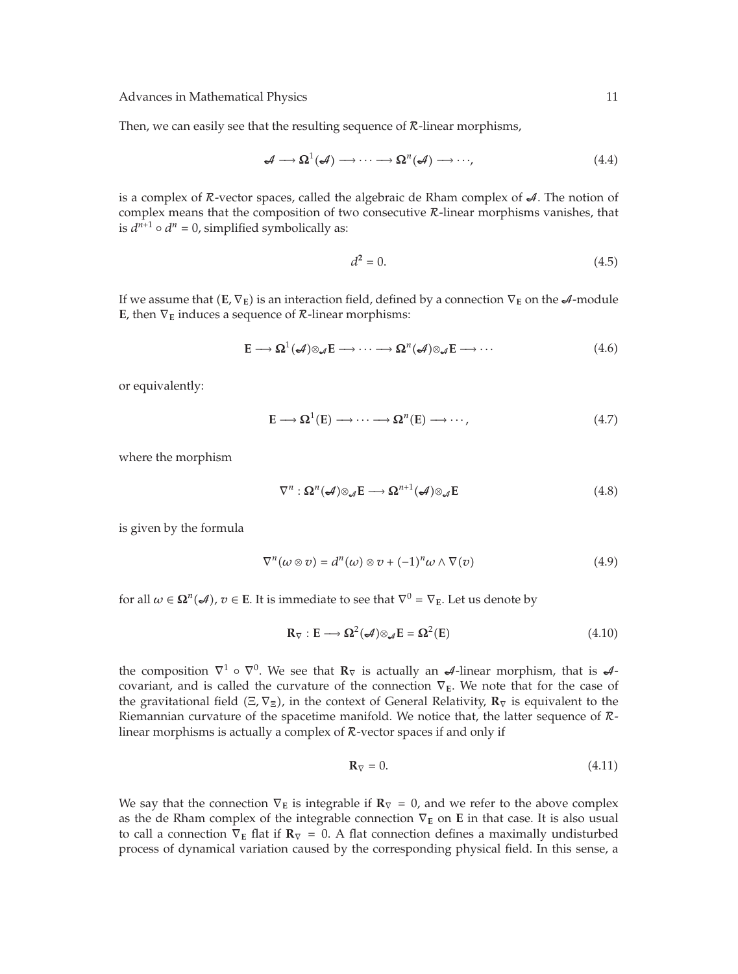Advances in Mathematical Physics 11 and 2012 11 and 2012 11 and 2012 11 and 2012 11 and 2012 11 and 2012 11 and 2012 11 and 2012 11 and 2012 11 and 2012 11 and 2012 11 and 2012 11 and 2012 11 and 2012 11 and 2012 11 and 20

Then, we can easily see that the resulting sequence of  $R$ -linear morphisms,

$$
\mathcal{A} \longrightarrow \Omega^1(\mathcal{A}) \longrightarrow \cdots \longrightarrow \Omega^n(\mathcal{A}) \longrightarrow \cdots,
$$
\n(4.4)

is a complex of  $\mathcal R$ -vector spaces, called the algebraic de Rham complex of  $\mathcal A$ . The notion of complex means that the composition of two consecutive  $R$ -linear morphisms vanishes, that is  $d^{n+1} \circ d^n = 0$ , simplified symbolically as:

$$
d^2 = 0.\tag{4.5}
$$

If we assume that  $(E, \nabla_E)$  is an interaction field, defined by a connection  $\nabla_E$  on the  $\mathcal{A}$ -module **E**, then  $\nabla$ <sub>**E**</sub> induces a sequence of  $\mathcal{R}$ -linear morphisms:

$$
\mathbf{E} \longrightarrow \mathbf{\Omega}^1(\mathcal{A}) \otimes_{\mathcal{A}} \mathbf{E} \longrightarrow \cdots \longrightarrow \mathbf{\Omega}^n(\mathcal{A}) \otimes_{\mathcal{A}} \mathbf{E} \longrightarrow \cdots \tag{4.6}
$$

or equivalently:

$$
E \longrightarrow \Omega^1(E) \longrightarrow \cdots \longrightarrow \Omega^n(E) \longrightarrow \cdots,
$$
\n(4.7)

where the morphism

$$
\nabla^n : \Omega^n(\mathcal{A}) \otimes_{\mathcal{A}} \mathbf{E} \longrightarrow \Omega^{n+1}(\mathcal{A}) \otimes_{\mathcal{A}} \mathbf{E}
$$
 (4.8)

is given by the formula

$$
\nabla^{n}(\omega \otimes v) = d^{n}(\omega) \otimes v + (-1)^{n} \omega \wedge \nabla(v)
$$
\n(4.9)

for all  $\omega \in \Omega^n(\mathcal{A})$ ,  $v \in E$ . It is immediate to see that  $\nabla^0 = \nabla_E$ . Let us denote by

$$
\mathbf{R}_{\nabla} : \mathbf{E} \longrightarrow \Omega^2(\mathcal{A}) \otimes_{\mathcal{A}} \mathbf{E} = \Omega^2(\mathbf{E}) \tag{4.10}
$$

the composition  $\nabla^1 \circ \nabla^0$ . We see that  $\mathbf{R}_{\nabla}$  is actually an  $\mathcal{A}$ -linear morphism, that is  $\mathcal{A}$ covariant, and is called the curvature of the connection ∇**E**. We note that for the case of the gravitational field Ξ*,* ∇**Ξ**, in the context of General Relativity, **R**<sup>∇</sup> is equivalent to the Riemannian curvature of the spacetime manifold. We notice that, the latter sequence of Rlinear morphisms is actually a complex of  $R$ -vector spaces if and only if

$$
\mathbf{R}_{\nabla} = 0. \tag{4.11}
$$

We say that the connection  $\nabla$ **E** is integrable if  $\mathbf{R}_{\nabla} = 0$ , and we refer to the above complex as the de Rham complex of the integrable connection ∇**<sup>E</sup>** on **E** in that case. It is also usual to call a connection  $\nabla$ **E** flat if  $\mathbf{R}_{\nabla} = 0$ . A flat connection defines a maximally undisturbed process of dynamical variation caused by the corresponding physical field. In this sense, a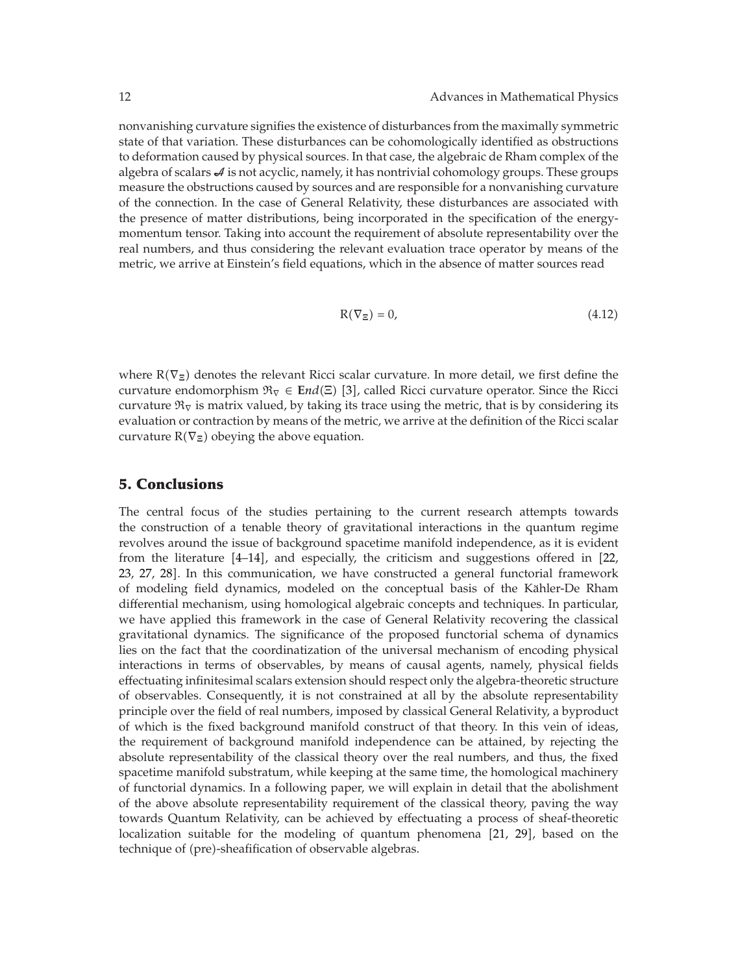nonvanishing curvature signifies the existence of disturbances from the maximally symmetric state of that variation. These disturbances can be cohomologically identified as obstructions to deformation caused by physical sources. In that case, the algebraic de Rham complex of the algebra of scalars  $\mathcal A$  is not acyclic, namely, it has nontrivial cohomology groups. These groups measure the obstructions caused by sources and are responsible for a nonvanishing curvature of the connection. In the case of General Relativity, these disturbances are associated with the presence of matter distributions, being incorporated in the specification of the energymomentum tensor. Taking into account the requirement of absolute representability over the real numbers, and thus considering the relevant evaluation trace operator by means of the metric, we arrive at Einstein's field equations, which in the absence of matter sources read

$$
R(\nabla_{\Xi}) = 0,\t\t(4.12)
$$

where R∇**Ξ** denotes the relevant Ricci scalar curvature. In more detail, we first define the curvature endomorphism R<sup>∇</sup> ∈ **E***nd*Ξ 3, called Ricci curvature operator. Since the Ricci curvature  $\Re$ <sub>V</sub> is matrix valued, by taking its trace using the metric, that is by considering its evaluation or contraction by means of the metric, we arrive at the definition of the Ricci scalar curvature  $R(\nabla_{\Xi})$  obeying the above equation.

#### **5. Conclusions**

The central focus of the studies pertaining to the current research attempts towards the construction of a tenable theory of gravitational interactions in the quantum regime revolves around the issue of background spacetime manifold independence, as it is evident from the literature [4-14], and especially, the criticism and suggestions offered in [22, 23, 27, 28. In this communication, we have constructed a general functorial framework of modeling field dynamics, modeled on the conceptual basis of the Kahler-De Rham ¨ differential mechanism, using homological algebraic concepts and techniques. In particular, we have applied this framework in the case of General Relativity recovering the classical gravitational dynamics. The significance of the proposed functorial schema of dynamics lies on the fact that the coordinatization of the universal mechanism of encoding physical interactions in terms of observables, by means of causal agents, namely, physical fields effectuating infinitesimal scalars extension should respect only the algebra-theoretic structure of observables. Consequently, it is not constrained at all by the absolute representability principle over the field of real numbers, imposed by classical General Relativity, a byproduct of which is the fixed background manifold construct of that theory. In this vein of ideas, the requirement of background manifold independence can be attained, by rejecting the absolute representability of the classical theory over the real numbers, and thus, the fixed spacetime manifold substratum, while keeping at the same time, the homological machinery of functorial dynamics. In a following paper, we will explain in detail that the abolishment of the above absolute representability requirement of the classical theory, paving the way towards Quantum Relativity, can be achieved by effectuating a process of sheaf-theoretic localization suitable for the modeling of quantum phenomena [21, 29], based on the technique of (pre)-sheafification of observable algebras.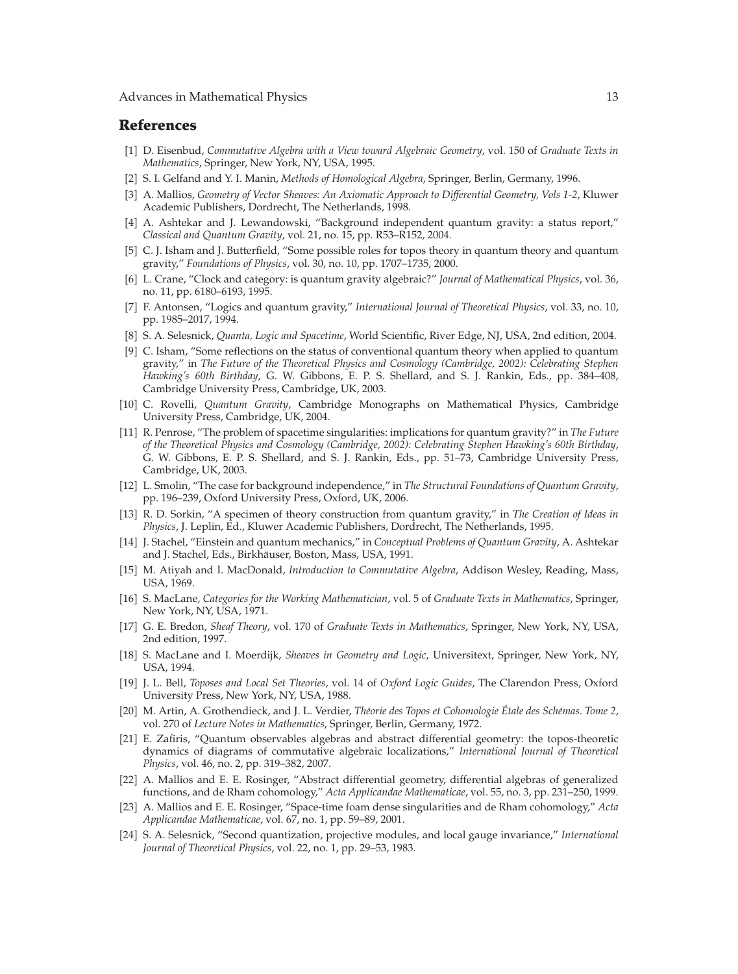### **References**

- 1 D. Eisenbud, *Commutative Algebra with a View toward Algebraic Geometry*, vol. 150 of *Graduate Texts in Mathematics*, Springer, New York, NY, USA, 1995.
- 2 S. I. Gelfand and Y. I. Manin, *Methods of Homological Algebra*, Springer, Berlin, Germany, 1996.
- 3 A. Mallios, *Geometry of Vector Sheaves: An Axiomatic Approach to Differential Geometry, Vols 1-2*, Kluwer Academic Publishers, Dordrecht, The Netherlands, 1998.
- [4] A. Ashtekar and J. Lewandowski, "Background independent quantum gravity: a status report," *Classical and Quantum Gravity*, vol. 21, no. 15, pp. R53–R152, 2004.
- [5] C. J. Isham and J. Butterfield, "Some possible roles for topos theory in quantum theory and quantum gravity," *Foundations of Physics*, vol. 30, no. 10, pp. 1707–1735, 2000.
- 6 L. Crane, "Clock and category: is quantum gravity algebraic?" *Journal of Mathematical Physics*, vol. 36, no. 11, pp. 6180–6193, 1995.
- 7 F. Antonsen, "Logics and quantum gravity," *International Journal of Theoretical Physics*, vol. 33, no. 10, pp. 1985–2017, 1994.
- 8 S. A. Selesnick, *Quanta, Logic and Spacetime*, World Scientific, River Edge, NJ, USA, 2nd edition, 2004.
- 9 C. Isham, "Some reflections on the status of conventional quantum theory when applied to quantum gravity," in *The Future of the Theoretical Physics and Cosmology (Cambridge, 2002): Celebrating Stephen Hawking's 60th Birthday*, G. W. Gibbons, E. P. S. Shellard, and S. J. Rankin, Eds., pp. 384–408, Cambridge University Press, Cambridge, UK, 2003.
- 10 C. Rovelli, *Quantum Gravity*, Cambridge Monographs on Mathematical Physics, Cambridge University Press, Cambridge, UK, 2004.
- 11 R. Penrose, "The problem of spacetime singularities: implications for quantum gravity?" in *The Future of the Theoretical Physics and Cosmology (Cambridge, 2002): Celebrating Stephen Hawking's 60th Birthday*, G. W. Gibbons, E. P. S. Shellard, and S. J. Rankin, Eds., pp. 51–73, Cambridge University Press, Cambridge, UK, 2003.
- 12 L. Smolin, "The case for background independence," in *The Structural Foundations of Quantum Gravity*, pp. 196–239, Oxford University Press, Oxford, UK, 2006.
- 13 R. D. Sorkin, "A specimen of theory construction from quantum gravity," in *The Creation of Ideas in Physics*, J. Leplin, Ed., Kluwer Academic Publishers, Dordrecht, The Netherlands, 1995.
- 14 J. Stachel, "Einstein and quantum mechanics," in *Conceptual Problems of Quantum Gravity*, A. Ashtekar and J. Stachel, Eds., Birkhäuser, Boston, Mass, USA, 1991.
- 15 M. Atiyah and I. MacDonald, *Introduction to Commutative Algebra*, Addison Wesley, Reading, Mass, USA, 1969.
- 16 S. MacLane, *Categories for the Working Mathematician*, vol. 5 of *Graduate Texts in Mathematics*, Springer, New York, NY, USA, 1971.
- 17 G. E. Bredon, *Sheaf Theory*, vol. 170 of *Graduate Texts in Mathematics*, Springer, New York, NY, USA, 2nd edition, 1997.
- 18 S. MacLane and I. Moerdijk, *Sheaves in Geometry and Logic*, Universitext, Springer, New York, NY, USA, 1994.
- 19 J. L. Bell, *Toposes and Local Set Theories*, vol. 14 of *Oxford Logic Guides*, The Clarendon Press, Oxford University Press, New York, NY, USA, 1988.
- 20 M. Artin, A. Grothendieck, and J. L. Verdier, *Theorie des Topos et Cohomologie ´ Etale des Sch ´ emas. Tome 2 ´* , vol. 270 of *Lecture Notes in Mathematics*, Springer, Berlin, Germany, 1972.
- 21 E. Zafiris, "Quantum observables algebras and abstract differential geometry: the topos-theoretic dynamics of diagrams of commutative algebraic localizations," *International Journal of Theoretical Physics*, vol. 46, no. 2, pp. 319–382, 2007.
- 22 A. Mallios and E. E. Rosinger, "Abstract differential geometry, differential algebras of generalized functions, and de Rham cohomology," *Acta Applicandae Mathematicae*, vol. 55, no. 3, pp. 231–250, 1999.
- 23 A. Mallios and E. E. Rosinger, "Space-time foam dense singularities and de Rham cohomology," *Acta Applicandae Mathematicae*, vol. 67, no. 1, pp. 59–89, 2001.
- 24 S. A. Selesnick, "Second quantization, projective modules, and local gauge invariance," *International Journal of Theoretical Physics*, vol. 22, no. 1, pp. 29–53, 1983.